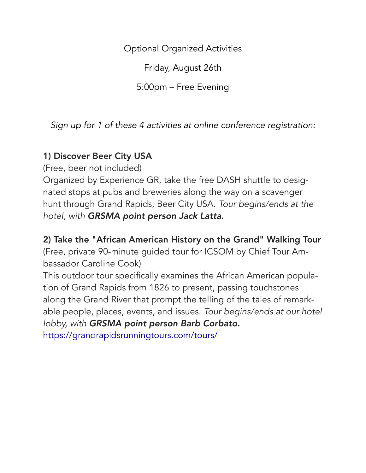Optional Organized Activities

Friday, August 26th

5:00pm – Free Evening

*Sign up for 1 of these 4 activities at online conference registration:*

## 1) Discover Beer City USA

(Free, beer not included)

Organized by Experience GR, take the free DASH shuttle to designated stops at pubs and breweries along the way on a scavenger hunt through Grand Rapids, Beer City USA. *Tour begins/ends at the hotel, with GRSMA point person Jack Latta.*

2) Take the "African American History on the Grand" Walking Tour

(Free, private 90-minute guided tour for ICSOM by Chief Tour Ambassador Caroline Cook)

This outdoor tour specifically examines the African American population of Grand Rapids from 1826 to present, passing touchstones along the Grand River that prompt the telling of the tales of remarkable people, places, events, and issues. *Tour begins/ends at our hotel lobby, with GRSMA point person Barb Corbato.* <https://grandrapidsrunningtours.com/tours/>